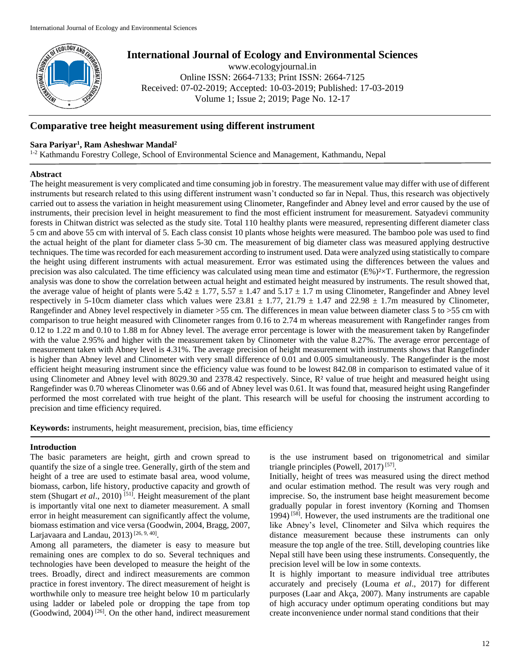

# **International Journal of Ecology and Environmental Sciences**

www.ecologyjournal.in Online ISSN: 2664-7133; Print ISSN: 2664-7125 Received: 07-02-2019; Accepted: 10-03-2019; Published: 17-03-2019 Volume 1; Issue 2; 2019; Page No. 12-17

# **Comparative tree height measurement using different instrument**

# **Sara Pariyar<sup>1</sup> , Ram Asheshwar Mandal<sup>2</sup>**

<sup>1-2</sup> Kathmandu Forestry College, School of Environmental Science and Management, Kathmandu, Nepal

## **Abstract**

The height measurement is very complicated and time consuming job in forestry. The measurement value may differ with use of different instruments but research related to this using different instrument wasn't conducted so far in Nepal. Thus, this research was objectively carried out to assess the variation in height measurement using Clinometer, Rangefinder and Abney level and error caused by the use of instruments, their precision level in height measurement to find the most efficient instrument for measurement. Satyadevi community forests in Chitwan district was selected as the study site. Total 110 healthy plants were measured, representing different diameter class 5 cm and above 55 cm with interval of 5. Each class consist 10 plants whose heights were measured. The bamboo pole was used to find the actual height of the plant for diameter class 5-30 cm. The measurement of big diameter class was measured applying destructive techniques. The time was recorded for each measurement according to instrument used. Data were analyzed using statistically to compare the height using different instruments with actual measurement. Error was estimated using the differences between the values and precision was also calculated. The time efficiency was calculated using mean time and estimator  $(E\%)^2 \times T$ . Furthermore, the regression analysis was done to show the correlation between actual height and estimated height measured by instruments. The result showed that, the average value of height of plants were  $5.42 \pm 1.77$ ,  $5.57 \pm 1.47$  and  $5.17 \pm 1.7$  m using Clinometer, Rangefinder and Abney level respectively in 5-10cm diameter class which values were  $23.81 \pm 1.77$ ,  $21.79 \pm 1.47$  and  $22.98 \pm 1.7$ m measured by Clinometer, Rangefinder and Abney level respectively in diameter >55 cm. The differences in mean value between diameter class 5 to >55 cm with comparison to true height measured with Clinometer ranges from 0.16 to 2.74 m whereas measurement with Rangefinder ranges from 0.12 to 1.22 m and 0.10 to 1.88 m for Abney level. The average error percentage is lower with the measurement taken by Rangefinder with the value 2.95% and higher with the measurement taken by Clinometer with the value 8.27%. The average error percentage of measurement taken with Abney level is 4.31%. The average precision of height measurement with instruments shows that Rangefinder is higher than Abney level and Clinometer with very small difference of 0.01 and 0.005 simultaneously. The Rangefinder is the most efficient height measuring instrument since the efficiency value was found to be lowest 842.08 in comparison to estimated value of it using Clinometer and Abney level with 8029.30 and 2378.42 respectively. Since, R<sup>2</sup> value of true height and measured height using Rangefinder was 0.70 whereas Clinometer was 0.66 and of Abney level was 0.61. It was found that, measured height using Rangefinder performed the most correlated with true height of the plant. This research will be useful for choosing the instrument according to precision and time efficiency required.

**Keywords:** instruments, height measurement, precision, bias, time efficiency

## **Introduction**

The basic parameters are height, girth and crown spread to quantify the size of a single tree. Generally, girth of the stem and height of a tree are used to estimate basal area, wood volume, biomass, carbon, life history, productive capacity and growth of stem (Shugart *et al.*, 2010)<sup>[51]</sup>. Height measurement of the plant is importantly vital one next to diameter measurement. A small error in height measurement can significantly affect the volume, biomass estimation and vice versa (Goodwin, 2004, Bragg, 2007, Larjavaara and Landau,  $2013$ <sup>[26, 9, 40]</sup>.

Among all parameters, the diameter is easy to measure but remaining ones are complex to do so. Several techniques and technologies have been developed to measure the height of the trees. Broadly, direct and indirect measurements are common practice in forest inventory. The direct measurement of height is worthwhile only to measure tree height below 10 m particularly using ladder or labeled pole or dropping the tape from top (Goodwind, 2004)<sup>[26]</sup>. On the other hand, indirect measurement

is the use instrument based on trigonometrical and similar triangle principles (Powell, 2017)<sup>[57]</sup>.

Initially, height of trees was measured using the direct method and ocular estimation method. The result was very rough and imprecise. So, the instrument base height measurement become gradually popular in forest inventory (Korning and Thomsen 1994) [58]. However, the used instruments are the traditional one like Abney's level, Clinometer and Silva which requires the distance measurement because these instruments can only measure the top angle of the tree. Still, developing countries like Nepal still have been using these instruments. Consequently, the precision level will be low in some contexts.

It is highly important to measure individual tree attributes accurately and precisely (Louma *et al*., 2017) for different purposes (Laar and Akça, 2007). Many instruments are capable of high accuracy under optimum operating conditions but may create inconvenience under normal stand conditions that their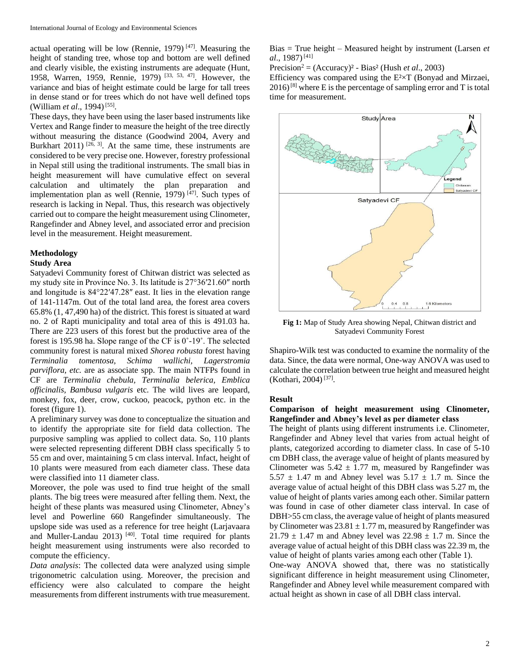actual operating will be low (Rennie, 1979)  $[47]$ . Measuring the height of standing tree, whose top and bottom are well defined and clearly visible, the existing instruments are adequate (Hunt, 1958, Warren, 1959, Rennie, 1979) [33, 53, 47]. However, the variance and bias of height estimate could be large for tall trees in dense stand or for trees which do not have well defined tops (William *et al.*, 1994)<sup>[55]</sup>.

These days, they have been using the laser based instruments like Vertex and Range finder to measure the height of the tree directly without measuring the distance (Goodwind 2004, Avery and Burkhart 2011)  $[26, 3]$ . At the same time, these instruments are considered to be very precise one. However, forestry professional in Nepal still using the traditional instruments. The small bias in height measurement will have cumulative effect on several calculation and ultimately the plan preparation and implementation plan as well (Rennie, 1979)  $[47]$ . Such types of research is lacking in Nepal. Thus, this research was objectively carried out to compare the height measurement using Clinometer, Rangefinder and Abney level, and associated error and precision level in the measurement. Height measurement.

## **Methodology**

#### **Study Area**

Satyadevi Community forest of Chitwan district was selected as my study site in Province No. 3. Its latitude is 27°36′21.60″ north and longitude is 84°22′47.28″ east. It lies in the elevation range of 141-1147m. Out of the total land area, the forest area covers 65.8% (1, 47,490 ha) of the district. This forest is situated at ward no. 2 of Rapti municipality and total area of this is 491.03 ha. There are 223 users of this forest but the productive area of the forest is 195.98 ha. Slope range of the CF is 0˚-19˚. The selected community forest is natural mixed *Shorea robusta* forest having *Terminalia tomentosa, Schima wallichi, Lagerstromia parviflora, etc.* are as associate spp. The main NTFPs found in CF are *Terminalia chebula, Terminalia belerica, Emblica officinalis, Bambusa vulgaris* etc. The wild lives are leopard, monkey, fox, deer, crow, cuckoo, peacock, python etc. in the forest (figure 1).

A preliminary survey was done to conceptualize the situation and to identify the appropriate site for field data collection. The purposive sampling was applied to collect data. So, 110 plants were selected representing different DBH class specifically 5 to 55 cm and over, maintaining 5 cm class interval. Infact, height of 10 plants were measured from each diameter class. These data were classified into 11 diameter class.

Moreover, the pole was used to find true height of the small plants. The big trees were measured after felling them. Next, the height of these plants was measured using Clinometer, Abney's level and Powerline 660 Rangefinder simultaneously. The upslope side was used as a reference for tree height (Larjavaara and Muller-Landau 2013)<sup>[40]</sup>. Total time required for plants height measurement using instruments were also recorded to compute the efficiency.

*Data analysis*: The collected data were analyzed using simple trigonometric calculation using. Moreover, the precision and efficiency were also calculated to compare the height measurements from different instruments with true measurement.

Bias = True height – Measured height by instrument (Larsen *et al.*, 1987)<sup>[41]</sup>

Precision<sup>2</sup> = (Accuracy)² - Bias² (Hush *et al*., 2003)

Efficiency was compared using the  $E^2 \times T$  (Bonyad and Mirzaei,  $2016$ <sup>[8]</sup> where E is the percentage of sampling error and T is total time for measurement.



**Fig 1:** Map of Study Area showing Nepal, Chitwan district and Satyadevi Community Forest

Shapiro-Wilk test was conducted to examine the normality of the data. Since, the data were normal, One-way ANOVA was used to calculate the correlation between true height and measured height (Kothari, 2004)<sup>[37]</sup>.

#### **Result**

# **Comparison of height measurement using Clinometer, Rangefinder and Abney's level as per diameter class**

The height of plants using different instruments i.e. Clinometer, Rangefinder and Abney level that varies from actual height of plants, categorized according to diameter class. In case of 5-10 cm DBH class, the average value of height of plants measured by Clinometer was  $5.42 \pm 1.77$  m, measured by Rangefinder was  $5.57 \pm 1.47$  m and Abney level was  $5.17 \pm 1.7$  m. Since the average value of actual height of this DBH class was 5.27 m, the value of height of plants varies among each other. Similar pattern was found in case of other diameter class interval. In case of DBH>55 cm class, the average value of height of plants measured by Clinometer was  $23.81 \pm 1.77$  m, measured by Rangefinder was  $21.79 \pm 1.47$  m and Abney level was  $22.98 \pm 1.7$  m. Since the average value of actual height of this DBH class was 22.39 m, the value of height of plants varies among each other (Table 1).

One-way ANOVA showed that, there was no statistically significant difference in height measurement using Clinometer, Rangefinder and Abney level while measurement compared with actual height as shown in case of all DBH class interval.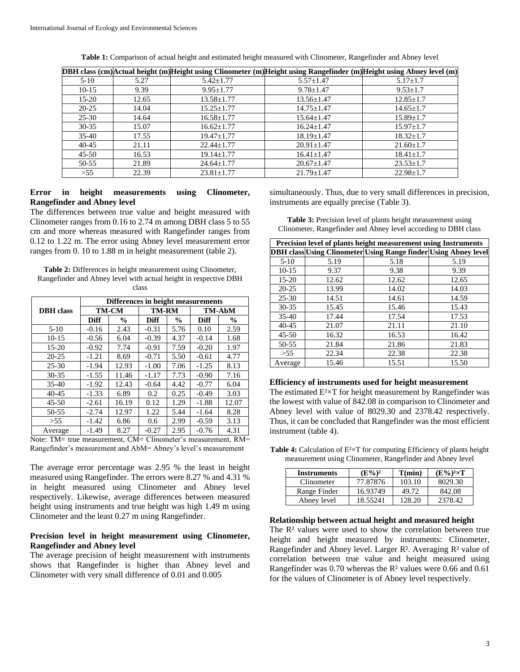|           |       |                  | [DBH class (cm) Actual height (m) Height using Clinometer (m) Height using Rangefinder (m) Height using Abney level (m) |                 |
|-----------|-------|------------------|-------------------------------------------------------------------------------------------------------------------------|-----------------|
| $5 - 10$  | 5.27  | $5.42 \pm 1.77$  | $5.57 \pm 1.47$                                                                                                         | $5.17 \pm 1.7$  |
| $10-15$   | 9.39  | $9.95 \pm 1.77$  | $9.78 \pm 1.47$                                                                                                         | $9.53 \pm 1.7$  |
| $15-20$   | 12.65 | $13.58 \pm 1.77$ | $13.56 \pm 1.47$                                                                                                        | $12.85 \pm 1.7$ |
| $20 - 25$ | 14.04 | $15.25 \pm 1.77$ | $14.75 \pm 1.47$                                                                                                        | $14.65 \pm 1.7$ |
| $25 - 30$ | 14.64 | $16.58 \pm 1.77$ | $15.64 \pm 1.47$                                                                                                        | $15.89 \pm 1.7$ |
| $30 - 35$ | 15.07 | $16.62 \pm 1.77$ | $16.24 \pm 1.47$                                                                                                        | $15.97 \pm 1.7$ |
| $35-40$   | 17.55 | $19.47 \pm 1.77$ | $18.19 \pm 1.47$                                                                                                        | $18.32 \pm 1.7$ |
| $40 - 45$ | 21.11 | $22.44 \pm 1.77$ | $20.91 \pm 1.47$                                                                                                        | $21.60 \pm 1.7$ |
| $45 - 50$ | 16.53 | $19.14 \pm 1.77$ | $16.41 \pm 1.47$                                                                                                        | $18.41 \pm 1.7$ |
| $50 - 55$ | 21.89 | $24.64 \pm 1.77$ | $20.67 \pm 1.47$                                                                                                        | $23.53 \pm 1.7$ |
| $>55$     | 22.39 | $23.81 \pm 1.77$ | $21.79 \pm 1.47$                                                                                                        | $22.98 \pm 1.7$ |

**Table 1:** Comparison of actual height and estimated height measured with Clinometer, Rangefinder and Abney level

## **Error in height measurements using Clinometer, Rangefinder and Abney level**

The differences between true value and height measured with Clinometer ranges from 0.16 to 2.74 m among DBH class 5 to 55 cm and more whereas measured with Rangefinder ranges from 0.12 to 1.22 m. The error using Abney level measurement error ranges from 0. 10 to 1.88 m in height measurement (table 2).

**Table 2:** Differences in height measurement using Clinometer, Rangefinder and Abney level with actual height in respective DBH class

|                  | Differences in height measurements |               |             |               |         |               |
|------------------|------------------------------------|---------------|-------------|---------------|---------|---------------|
| <b>DBH</b> class | <b>TM-CM</b>                       |               | TM-RM       |               | TM-AbM  |               |
|                  | <b>Diff</b>                        | $\frac{6}{9}$ | <b>Diff</b> | $\frac{0}{0}$ | Diff    | $\frac{6}{9}$ |
| $5 - 10$         | $-0.16$                            | 2.43          | $-0.31$     | 5.76          | 0.10    | 2.59          |
| $10-15$          | $-0.56$                            | 6.04          | $-0.39$     | 4.37          | $-0.14$ | 1.68          |
| $15 - 20$        | $-0.92$                            | 7.74          | $-0.91$     | 7.59          | $-0.20$ | 1.97          |
| $20 - 25$        | $-1.21$                            | 8.69          | $-0.71$     | 5.50          | $-0.61$ | 4.77          |
| $25 - 30$        | $-1.94$                            | 12.93         | $-1.00$     | 7.06          | $-1.25$ | 8.13          |
| $30 - 35$        | $-1.55$                            | 11.46         | $-1.17$     | 7.73          | $-0.90$ | 7.16          |
| $35 - 40$        | $-1.92$                            | 12.43         | $-0.64$     | 4.42          | $-0.77$ | 6.04          |
| $40 - 45$        | $-1.33$                            | 6.89          | 0.2         | 0.25          | $-0.49$ | 3.03          |
| $45 - 50$        | $-2.61$                            | 16.19         | 0.12        | 1.29          | $-1.88$ | 12.07         |
| $50 - 55$        | $-2.74$                            | 12.97         | 1.22        | 5.44          | $-1.64$ | 8.28          |
| >55              | $-1.42$                            | 6.86          | 0.6         | 2.99          | $-0.59$ | 3.13          |
| Average          | $-1.49$                            | 8.27          | $-0.27$     | 2.95          | $-0.76$ | 4.31          |

Note: TM= true measurement, CM= Clinometer's measurement, RM= Rangefinder's measurement and AbM= Abney's level's measurement

The average error percentage was 2.95 % the least in height measured using Rangefinder. The errors were 8.27 % and 4.31 % in height measured using Clinometer and Abney level respectively. Likewise, average differences between measured height using instruments and true height was high 1.49 m using Clinometer and the least 0.27 m using Rangefinder.

## **Precision level in height measurement using Clinometer, Rangefinder and Abney level**

The average precision of height measurement with instruments shows that Rangefinder is higher than Abney level and Clinometer with very small difference of 0.01 and 0.005

simultaneously. Thus, due to very small differences in precision, instruments are equally precise (Table 3).

**Table 3:** Precision level of plants height measurement using Clinometer, Rangefinder and Abney level according to DBH class

| Precision level of plants height measurement using Instruments |       |                                                                        |       |
|----------------------------------------------------------------|-------|------------------------------------------------------------------------|-------|
|                                                                |       | <b>DBH class Using Clinometer Using Range finder Using Abney level</b> |       |
| $5-10$                                                         | 5.19  | 5.18                                                                   | 5.19  |
| $10-15$                                                        | 9.37  | 9.38                                                                   | 9.39  |
| $15 - 20$                                                      | 12.62 | 12.62                                                                  | 12.65 |
| $20 - 25$                                                      | 13.99 | 14.02                                                                  | 14.03 |
| $25 - 30$                                                      | 14.51 | 14.61                                                                  | 14.59 |
| $30 - 35$                                                      | 15.45 | 15.46                                                                  | 15.43 |
| $35 - 40$                                                      | 17.44 | 17.54                                                                  | 17.53 |
| $40 - 45$                                                      | 21.07 | 21.11                                                                  | 21.10 |
| $45 - 50$                                                      | 16.32 | 16.53                                                                  | 16.42 |
| $50 - 55$                                                      | 21.84 | 21.86                                                                  | 21.83 |
| >55                                                            | 22.34 | 22.38                                                                  | 22.38 |
| Average                                                        | 15.46 | 15.51                                                                  | 15.50 |

#### **Efficiency of instruments used for height measurement**

The estimated  $E^2 \times T$  for height measurement by Rangefinder was the lowest with value of 842.08 in comparison to Clinometer and Abney level with value of 8029.30 and 2378.42 respectively. Thus, it can be concluded that Rangefinder was the most efficient instrument (table 4).

**Table 4:** Calculation of E<sup>2</sup>×T for computing Efficiency of plants height measurement using Clinometer, Rangefinder and Abney level

| Instruments  | $(E\%)^2$ | T(min) | $(E\%)^2 \times T$ |  |
|--------------|-----------|--------|--------------------|--|
| Clinometer   | 77.87876  | 103.10 | 8029.30            |  |
| Range Finder | 16.93749  | 49.72  | 842.08             |  |
| Abney level  | 18.55241  | 128.20 | 2378.42            |  |

#### **Relationship between actual height and measured height**

The R<sup>2</sup> values were used to show the correlation between true height and height measured by instruments: Clinometer, Rangefinder and Abney level. Larger R². Averaging R² value of correlation between true value and height measured using Rangefinder was 0.70 whereas the R² values were 0.66 and 0.61 for the values of Clinometer is of Abney level respectively.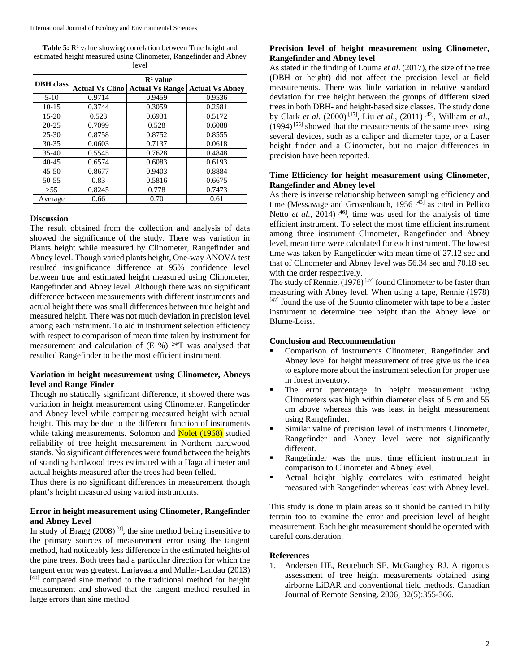**Table 5:** R² value showing correlation between True height and estimated height measured using Clinometer, Rangefinder and Abney level

| <b>DBH</b> class | $\mathbb{R}^2$ value   |                        |                        |  |  |
|------------------|------------------------|------------------------|------------------------|--|--|
|                  | <b>Actual Vs Clino</b> | <b>Actual Vs Range</b> | <b>Actual Vs Abney</b> |  |  |
| $5-10$           | 0.9714                 | 0.9459                 | 0.9536                 |  |  |
| $10-15$          | 0.3744                 | 0.3059                 | 0.2581                 |  |  |
| $15-20$          | 0.523                  | 0.6931                 | 0.5172                 |  |  |
| $20 - 25$        | 0.7099                 | 0.528                  | 0.6088                 |  |  |
| $25 - 30$        | 0.8758                 | 0.8752                 | 0.8555                 |  |  |
| $30 - 35$        | 0.0603                 | 0.7137                 | 0.0618                 |  |  |
| $35-40$          | 0.5545                 | 0.7628                 | 0.4848                 |  |  |
| $40 - 45$        | 0.6574                 | 0.6083                 | 0.6193                 |  |  |
| $45 - 50$        | 0.8677                 | 0.9403                 | 0.8884                 |  |  |
| 50-55            | 0.83                   | 0.5816                 | 0.6675                 |  |  |
| > 55             | 0.8245                 | 0.778                  | 0.7473                 |  |  |
| Average          | 0.66                   | 0.70                   | 0.61                   |  |  |

#### **Discussion**

The result obtained from the collection and analysis of data showed the significance of the study. There was variation in Plants height while measured by Clinometer, Rangefinder and Abney level. Though varied plants height, One-way ANOVA test resulted insignificance difference at 95% confidence level between true and estimated height measured using Clinometer, Rangefinder and Abney level. Although there was no significant difference between measurements with different instruments and actual height there was small differences between true height and measured height. There was not much deviation in precision level among each instrument. To aid in instrument selection efficiency with respect to comparison of mean time taken by instrument for measurement and calculation of (E %) ²\*T was analysed that resulted Rangefinder to be the most efficient instrument.

## **Variation in height measurement using Clinometer, Abneys level and Range Finder**

Though no statically significant difference, it showed there was variation in height measurement using Clinometer, Rangefinder and Abney level while comparing measured height with actual height. This may be due to the different function of instruments while taking measurements. Solomon and **Nolet (1968)** studied reliability of tree height measurement in Northern hardwood stands. No significant differences were found between the heights of standing hardwood trees estimated with a Haga altimeter and actual heights measured after the trees had been felled.

Thus there is no significant differences in measurement though plant's height measured using varied instruments.

# **Error in height measurement using Clinometer, Rangefinder and Abney Level**

In study of Bragg  $(2008)^{9}$ , the sine method being insensitive to the primary sources of measurement error using the tangent method, had noticeably less difference in the estimated heights of the pine trees. Both trees had a particular direction for which the tangent error was greatest. Larjavaara and Muller-Landau (2013)  $[40]$  compared sine method to the traditional method for height measurement and showed that the tangent method resulted in large errors than sine method

# **Precision level of height measurement using Clinometer, Rangefinder and Abney level**

As stated in the finding of Louma *et al*. (2017), the size of the tree (DBH or height) did not affect the precision level at field measurements. There was little variation in relative standard deviation for tree height between the groups of different sized trees in both DBH- and height-based size classes. The study done by Clark *et al*. (2000) [17], Liu *et al*., (2011) [42], William *et al*.,  $(1994)^{555}$  showed that the measurements of the same trees using several devices, such as a caliper and diameter tape, or a Laser height finder and a Clinometer, but no major differences in precision have been reported.

# **Time Efficiency for height measurement using Clinometer, Rangefinder and Abney level**

As there is inverse relationship between sampling efficiency and time (Messavage and Grosenbauch, 1956<sup>[43]</sup> as cited in Pellico Netto *et al.*, 2014)<sup>[46]</sup>, time was used for the analysis of time efficient instrument. To select the most time efficient instrument among three instrument Clinometer, Rangefinder and Abney level, mean time were calculated for each instrument. The lowest time was taken by Rangefinder with mean time of 27.12 sec and that of Clinometer and Abney level was 56.34 sec and 70.18 sec with the order respectively.

The study of Rennie,  $(1978)^{[47]}$  found Clinometer to be faster than measuring with Abney level. When using a tape, Rennie (1978)  $[47]$  found the use of the Suunto clinometer with tape to be a faster instrument to determine tree height than the Abney level or Blume-Leiss.

# **Conclusion and Reccommendation**

- Comparison of instruments Clinometer, Rangefinder and Abney level for height measurement of tree give us the idea to explore more about the instrument selection for proper use in forest inventory.
- The error percentage in height measurement using Clinometers was high within diameter class of 5 cm and 55 cm above whereas this was least in height measurement using Rangefinder.
- Similar value of precision level of instruments Clinometer, Rangefinder and Abney level were not significantly different.
- Rangefinder was the most time efficient instrument in comparison to Clinometer and Abney level.
- Actual height highly correlates with estimated height measured with Rangefinder whereas least with Abney level.

This study is done in plain areas so it should be carried in hilly terrain too to examine the error and precision level of height measurement. Each height measurement should be operated with careful consideration.

#### **References**

1. Andersen HE, Reutebuch SE, McGaughey RJ. A rigorous assessment of tree height measurements obtained using airborne LiDAR and conventional field methods. Canadian Journal of Remote Sensing. 2006; 32(5):355-366.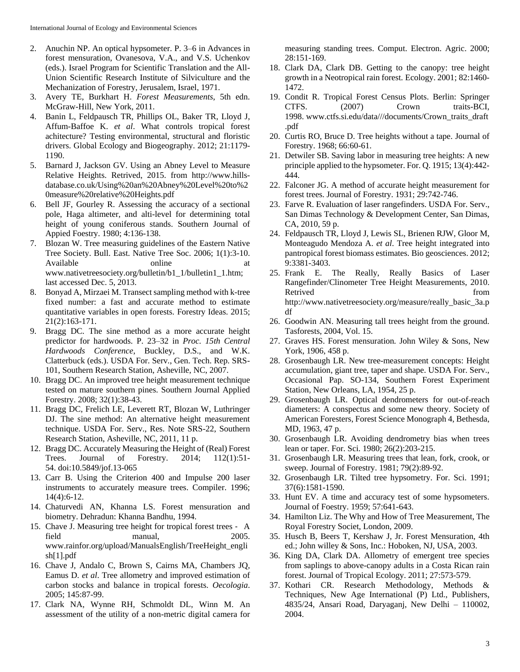- 2. Anuchin NP. An optical hypsometer. P. 3–6 in Advances in forest mensuration, Ovanesova, V.A., and V.S. Uchenkov (eds.). Israel Program for Scientific Translation and the All-Union Scientific Research Institute of Silviculture and the Mechanization of Forestry, Jerusalem, Israel, 1971.
- 3. Avery TE, Burkhart H. *Forest Measurements*, 5th edn. McGraw-Hill, New York, 2011.
- 4. Banin L, Feldpausch TR, Phillips OL, Baker TR, Lloyd J, Affum-Baffoe K. *et al*. What controls tropical forest achitecture? Testing environmental, structural and floristic drivers. Global Ecology and Biogeography. 2012; 21:1179- 1190.
- 5. Barnard J, Jackson GV. Using an Abney Level to Measure Relative Heights. Retrived, 2015. from http://www.hillsdatabase.co.uk/Using%20an%20Abney%20Level%20to%2 0measure%20relative%20Heights.pdf
- 6. Bell JF, Gourley R. Assessing the accuracy of a sectional pole, Haga altimeter, and alti-level for determining total height of young coniferous stands. Southern Journal of Appied Foestry. 1980; 4:136-138.
- 7. Blozan W. Tree measuring guidelines of the Eastern Native Tree Society. Bull. East. Native Tree Soc. 2006; 1(1):3-10. Available at online at www.nativetreesociety.org/bulletin/b1\_1/bulletin1\_1.htm; last accessed Dec. 5, 2013.
- 8. Bonyad A, Mirzaei M. Transect sampling method with k-tree fixed number: a fast and accurate method to estimate quantitative variables in open forests. Forestry Ideas. 2015; 21(2):163-171.
- 9. Bragg DC. The sine method as a more accurate height predictor for hardwoods. P. 23–32 in *Proc. 15th Central Hardwoods Conference*, Buckley, D.S., and W.K. Clatterbuck (eds.). USDA For. Serv., Gen. Tech. Rep. SRS-101, Southern Research Station, Asheville, NC, 2007.
- 10. Bragg DC. An improved tree height measurement technique tested on mature southern pines. Southern Journal Applied Forestry. 2008; 32(1):38-43.
- 11. Bragg DC, Frelich LE, Leverett RT, Blozan W, Luthringer DJ. The sine method: An alternative height measurement technique. USDA For. Serv., Res. Note SRS-22, Southern Research Station, Asheville, NC, 2011, 11 p.
- 12. Bragg DC. Accurately Measuring the Height of (Real) Forest Trees. Journal of Forestry. 2014; 112(1):51- 54. doi:10.5849/jof.13-065
- 13. Carr B. Using the Criterion 400 and Impulse 200 laser instruments to accurately measure trees. Compiler. 1996; 14(4):6-12.
- 14. Chaturvedi AN, Khanna LS. Forest mensuration and biometry. Dehradun: Khanna Bandhu, 1994.
- 15. Chave J. Measuring tree height for tropical forest trees ‐ A field manual, 2005. www.rainfor.org/upload/ManualsEnglish/TreeHeight\_engli sh[1].pdf
- 16. Chave J, Andalo C, Brown S, Cairns MA, Chambers JQ, Eamus D. *et al*. Tree allometry and improved estimation of carbon stocks and balance in tropical forests. *Oecologia*. 2005; 145:87-99.
- 17. Clark NA, Wynne RH, Schmoldt DL, Winn M. An assessment of the utility of a non-metric digital camera for

measuring standing trees. Comput. Electron. Agric. 2000; 28:151-169.

- 18. Clark DA, Clark DB. Getting to the canopy: tree height growth in a Neotropical rain forest. Ecology. 2001; 82:1460- 1472.
- 19. Condit R. Tropical Forest Census Plots. Berlin: Springer CTFS. (2007) Crown traits-BCI, 1998. www.ctfs.si.edu/data///documents/Crown\_traits\_draft .pdf
- 20. Curtis RO, Bruce D. Tree heights without a tape. Journal of Forestry. 1968; 66:60-61.
- 21. Detwiler SB. Saving labor in measuring tree heights: A new principle applied to the hypsometer. For. Q. 1915; 13(4):442- 444.
- 22. Falconer JG. A method of accurate height measurement for forest trees. Journal of Forestry. 1931; 29:742-746.
- 23. Farve R. Evaluation of laser rangefinders. USDA For. Serv., San Dimas Technology & Development Center, San Dimas, CA, 2010, 59 p.
- 24. Feldpausch TR, Lloyd J, Lewis SL, Brienen RJW, Gloor M, Monteagudo Mendoza A. *et al*. Tree height integrated into pantropical forest biomass estimates. Bio geosciences. 2012; 9:3381-3403.
- 25. Frank E. The Really, Really Basics of Laser Rangefinder/Clinometer Tree Height Measurements, 2010. Retrived from  $\blacksquare$ http://www.nativetreesociety.org/measure/really\_basic\_3a.p df
- 26. Goodwin AN. Measuring tall trees height from the ground. Tasforests, 2004, Vol. 15.
- 27. Graves HS. Forest mensuration*.* John Wiley & Sons, New York, 1906, 458 p.
- 28. Grosenbaugh LR. New tree-measurement concepts: Height accumulation, giant tree, taper and shape. USDA For. Serv., Occasional Pap. SO-134, Southern Forest Experiment Station, New Orleans, LA, 1954, 25 p.
- 29. Grosenbaugh LR. Optical dendrometers for out-of-reach diameters: A conspectus and some new theory. Society of American Foresters, Forest Science Monograph 4, Bethesda, MD, 1963, 47 p.
- 30. Grosenbaugh LR. Avoiding dendrometry bias when trees lean or taper. For. Sci. 1980; 26(2):203-215.
- 31. Grosenbaugh LR. Measuring trees that lean, fork, crook, or sweep. Journal of Forestry. 1981; 79(2):89-92.
- 32. Grosenbaugh LR. Tilted tree hypsometry. For. Sci. 1991; 37(6):1581-1590.
- 33. Hunt EV. A time and accuracy test of some hypsometers. Journal of Foestry. 1959; 57:641-643.
- 34. Hamilton Liz. The Why and How of Tree Measurement, The Royal Forestry Societ, London, 2009.
- 35. Husch B, Beers T, Kershaw J, Jr. Forest Mensuration, 4th ed.; John willey & Sons, Inc.: Hoboken, NJ, USA, 2003.
- 36. King DA, Clark DA. Allometry of emergent tree species from saplings to above-canopy adults in a Costa Rican rain forest. Journal of Tropical Ecology. 2011; 27:573-579.
- 37. Kothari CR. Research Methodology, Methods & Techniques, New Age International (P) Ltd., Publishers, 4835/24, Ansari Road, Daryaganj, New Delhi – 110002, 2004.